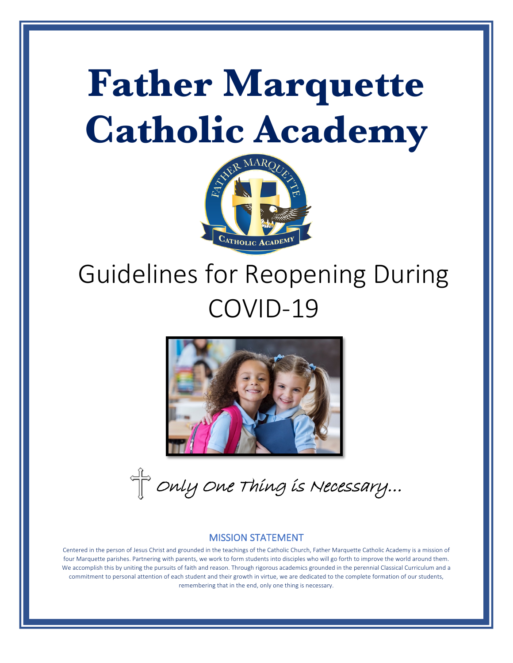# **Father Marquette Catholic Academy**



# Guidelines for Reopening During COVID-19



 $\text{C}^{\text{L}}$  Only One Thing is Necessary...

#### MISSION STATEMENT

Centered in the person of Jesus Christ and grounded in the teachings of the Catholic Church, Father Marquette Catholic Academy is a mission of four Marquette parishes. Partnering with parents, we work to form students into disciples who will go forth to improve the world around them. We accomplish this by uniting the pursuits of faith and reason. Through rigorous academics grounded in the perennial Classical Curriculum and a commitment to personal attention of each student and their growth in virtue, we are dedicated to the complete formation of our students, remembering that in the end, only one thing is necessary.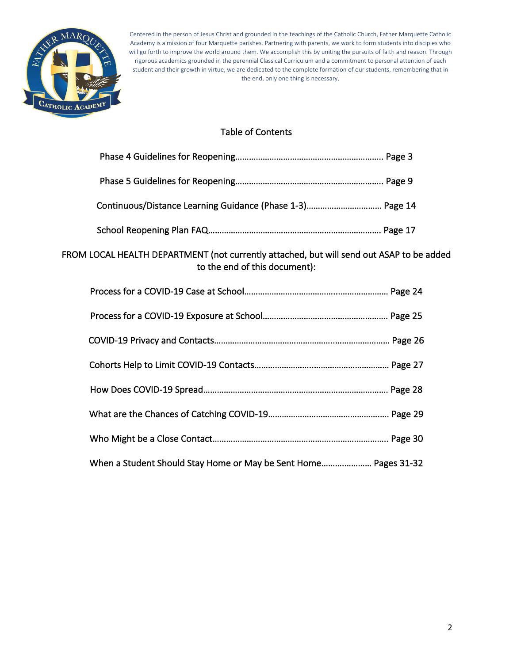

# Table of Contents

| Continuous/Distance Learning Guidance (Phase 1-3) Page 14                                                                 |  |
|---------------------------------------------------------------------------------------------------------------------------|--|
|                                                                                                                           |  |
| FROM LOCAL HEALTH DEPARTMENT (not currently attached, but will send out ASAP to be added<br>to the end of this document): |  |
|                                                                                                                           |  |
|                                                                                                                           |  |
|                                                                                                                           |  |
|                                                                                                                           |  |
|                                                                                                                           |  |
|                                                                                                                           |  |
|                                                                                                                           |  |
| When a Student Should Stay Home or May be Sent Home Pages 31-32                                                           |  |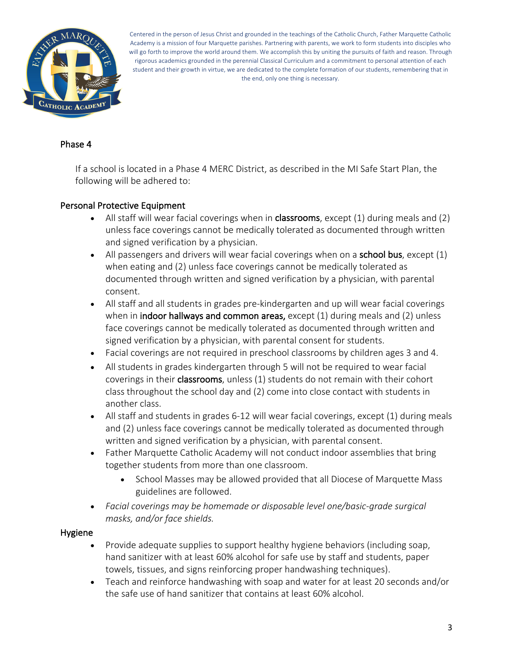

#### Phase 4

If a school is located in a Phase 4 MERC District, as described in the MI Safe Start Plan, the following will be adhered to:

#### Personal Protective Equipment

- All staff will wear facial coverings when in **classrooms**, except  $(1)$  during meals and  $(2)$ unless face coverings cannot be medically tolerated as documented through written and signed verification by a physician.
- All passengers and drivers will wear facial coverings when on a **school bus**, except  $(1)$ when eating and (2) unless face coverings cannot be medically tolerated as documented through written and signed verification by a physician, with parental consent.
- All staff and all students in grades pre-kindergarten and up will wear facial coverings when in indoor hallways and common areas, except (1) during meals and (2) unless face coverings cannot be medically tolerated as documented through written and signed verification by a physician, with parental consent for students.
- Facial coverings are not required in preschool classrooms by children ages 3 and 4.
- All students in grades kindergarten through 5 will not be required to wear facial coverings in their classrooms, unless (1) students do not remain with their cohort class throughout the school day and (2) come into close contact with students in another class.
- All staff and students in grades 6-12 will wear facial coverings, except (1) during meals and (2) unless face coverings cannot be medically tolerated as documented through written and signed verification by a physician, with parental consent.
- Father Marquette Catholic Academy will not conduct indoor assemblies that bring together students from more than one classroom.
	- School Masses may be allowed provided that all Diocese of Marquette Mass guidelines are followed.
- *Facial coverings may be homemade or disposable level one/basic-grade surgical masks, and/or face shields.*

#### Hygiene

- Provide adequate supplies to support healthy hygiene behaviors (including soap, hand sanitizer with at least 60% alcohol for safe use by staff and students, paper towels, tissues, and signs reinforcing proper handwashing techniques).
- Teach and reinforce handwashing with soap and water for at least 20 seconds and/or the safe use of hand sanitizer that contains at least 60% alcohol.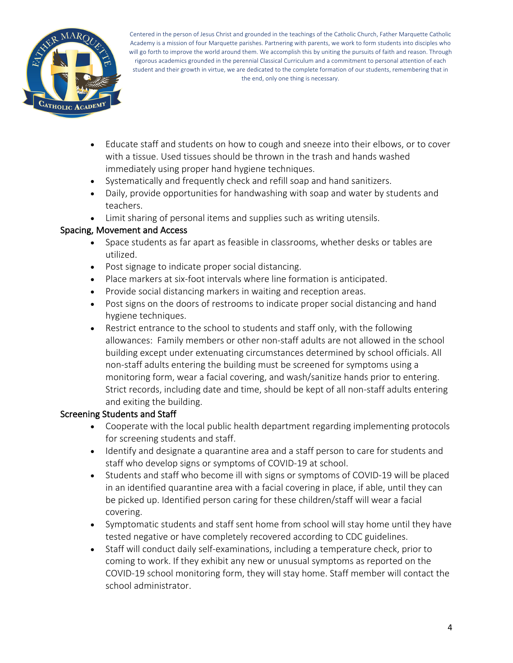

- Educate staff and students on how to cough and sneeze into their elbows, or to cover with a tissue. Used tissues should be thrown in the trash and hands washed immediately using proper hand hygiene techniques.
- Systematically and frequently check and refill soap and hand sanitizers.
- Daily, provide opportunities for handwashing with soap and water by students and teachers.
- Limit sharing of personal items and supplies such as writing utensils.

#### Spacing, Movement and Access

- Space students as far apart as feasible in classrooms, whether desks or tables are utilized.
- Post signage to indicate proper social distancing.
- Place markers at six-foot intervals where line formation is anticipated.
- Provide social distancing markers in waiting and reception areas.
- Post signs on the doors of restrooms to indicate proper social distancing and hand hygiene techniques.
- Restrict entrance to the school to students and staff only, with the following allowances: Family members or other non-staff adults are not allowed in the school building except under extenuating circumstances determined by school officials. All non-staff adults entering the building must be screened for symptoms using a monitoring form, wear a facial covering, and wash/sanitize hands prior to entering. Strict records, including date and time, should be kept of all non-staff adults entering and exiting the building.

#### Screening Students and Staff

- Cooperate with the local public health department regarding implementing protocols for screening students and staff.
- Identify and designate a quarantine area and a staff person to care for students and staff who develop signs or symptoms of COVID-19 at school.
- Students and staff who become ill with signs or symptoms of COVID-19 will be placed in an identified quarantine area with a facial covering in place, if able, until they can be picked up. Identified person caring for these children/staff will wear a facial covering.
- Symptomatic students and staff sent home from school will stay home until they have tested negative or have completely recovered according to CDC guidelines.
- Staff will conduct daily self-examinations, including a temperature check, prior to coming to work. If they exhibit any new or unusual symptoms as reported on the COVID-19 school monitoring form, they will stay home. Staff member will contact the school administrator.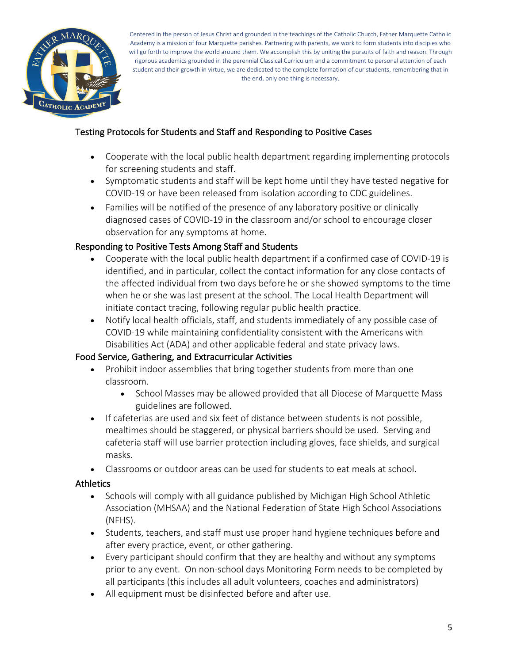

## Testing Protocols for Students and Staff and Responding to Positive Cases

- Cooperate with the local public health department regarding implementing protocols for screening students and staff.
- Symptomatic students and staff will be kept home until they have tested negative for COVID-19 or have been released from isolation according to CDC guidelines.
- Families will be notified of the presence of any laboratory positive or clinically diagnosed cases of COVID-19 in the classroom and/or school to encourage closer observation for any symptoms at home.

#### Responding to Positive Tests Among Staff and Students

- Cooperate with the local public health department if a confirmed case of COVID-19 is identified, and in particular, collect the contact information for any close contacts of the affected individual from two days before he or she showed symptoms to the time when he or she was last present at the school. The Local Health Department will initiate contact tracing, following regular public health practice.
- Notify local health officials, staff, and students immediately of any possible case of COVID-19 while maintaining confidentiality consistent with the Americans with Disabilities Act (ADA) and other applicable federal and state privacy laws.

#### Food Service, Gathering, and Extracurricular Activities

- Prohibit indoor assemblies that bring together students from more than one classroom.
	- School Masses may be allowed provided that all Diocese of Marquette Mass guidelines are followed.
- If cafeterias are used and six feet of distance between students is not possible, mealtimes should be staggered, or physical barriers should be used. Serving and cafeteria staff will use barrier protection including gloves, face shields, and surgical masks.
- Classrooms or outdoor areas can be used for students to eat meals at school.

#### **Athletics**

- Schools will comply with all guidance published by Michigan High School Athletic Association (MHSAA) and the National Federation of State High School Associations (NFHS).
- Students, teachers, and staff must use proper hand hygiene techniques before and after every practice, event, or other gathering.
- Every participant should confirm that they are healthy and without any symptoms prior to any event. On non-school days Monitoring Form needs to be completed by all participants (this includes all adult volunteers, coaches and administrators)
- All equipment must be disinfected before and after use.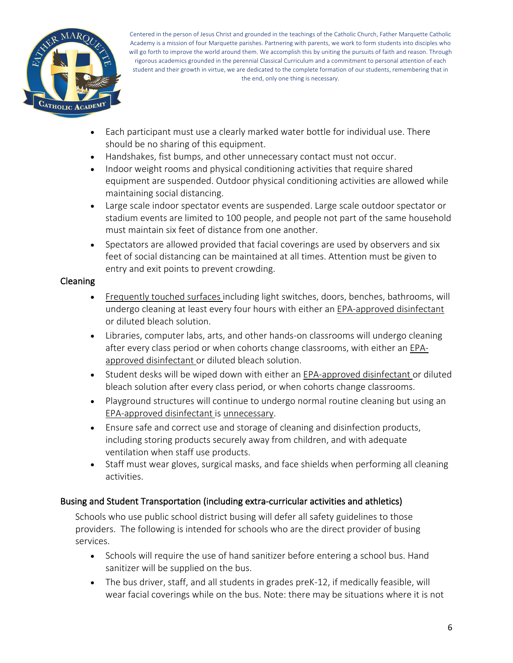

- Each participant must use a clearly marked water bottle for individual use. There should be no sharing of this equipment.
- Handshakes, fist bumps, and other unnecessary contact must not occur.
- Indoor weight rooms and physical conditioning activities that require shared equipment are suspended. Outdoor physical conditioning activities are allowed while maintaining social distancing.
- Large scale indoor spectator events are suspended. Large scale outdoor spectator or stadium events are limited to 100 people, and people not part of the same household must maintain six feet of distance from one another.
- Spectators are allowed provided that facial coverings are used by observers and six feet of social distancing can be maintained at all times. Attention must be given to entry and exit points to prevent crowding.

#### Cleaning

- Frequently touched surfaces including light switches, doors, benches, bathrooms, will undergo cleaning at least every four hours with either an EPA-approved disinfectant or diluted bleach solution.
- Libraries, computer labs, arts, and other hands-on classrooms will undergo cleaning after every class period or when cohorts change classrooms, with either an EPAapproved disinfectant or diluted bleach solution.
- Student desks will be wiped down with either an EPA-approved disinfectant or diluted bleach solution after every class period, or when cohorts change classrooms.
- Playground structures will continue to undergo normal routine cleaning but using an EPA-approved disinfectant is unnecessary.
- Ensure safe and correct use and storage of cleaning and disinfection products, including storing products securely away from children, and with adequate ventilation when staff use products.
- Staff must wear gloves, surgical masks, and face shields when performing all cleaning activities.

# Busing and Student Transportation (including extra-curricular activities and athletics)

Schools who use public school district busing will defer all safety guidelines to those providers. The following is intended for schools who are the direct provider of busing services.

- Schools will require the use of hand sanitizer before entering a school bus. Hand sanitizer will be supplied on the bus.
- The bus driver, staff, and all students in grades preK-12, if medically feasible, will wear facial coverings while on the bus. Note: there may be situations where it is not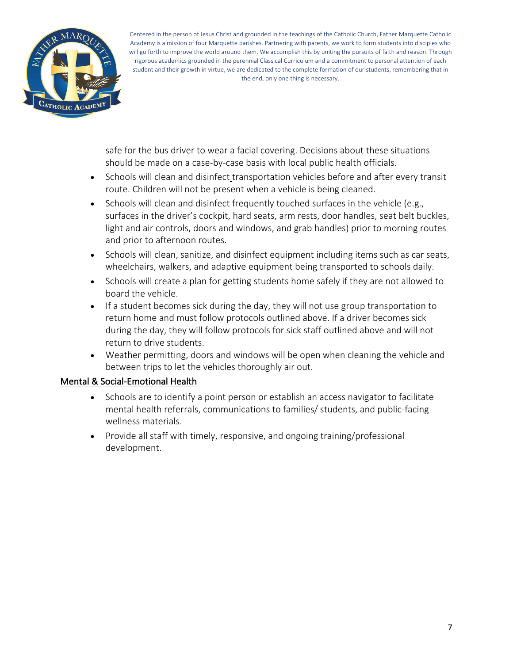

safe for the bus driver to wear a facial covering. Decisions about these situations should be made on a case-by-case basis with local public health officials.

- Schools will clean and disinfect transportation vehicles before and after every transit route. Children will not be present when a vehicle is being cleaned.
- Schools will clean and disinfect frequently touched surfaces in the vehicle (e.g., surfaces in the driver's cockpit, hard seats, arm rests, door handles, seat belt buckles, light and air controls, doors and windows, and grab handles) prior to morning routes and prior to afternoon routes.
- Schools will clean, sanitize, and disinfect equipment including items such as car seats, wheelchairs, walkers, and adaptive equipment being transported to schools daily.
- Schools will create a plan for getting students home safely if they are not allowed to board the vehicle.
- If a student becomes sick during the day, they will not use group transportation to return home and must follow protocols outlined above. If a driver becomes sick during the day, they will follow protocols for sick staff outlined above and will not return to drive students.
- Weather permitting, doors and windows will be open when cleaning the vehicle and between trips to let the vehicles thoroughly air out.

# Mental & Social-Emotional Health

- Schools are to identify a point person or establish an access navigator to facilitate mental health referrals, communications to families/ students, and public-facing wellness materials.
- Provide all staff with timely, responsive, and ongoing training/professional development.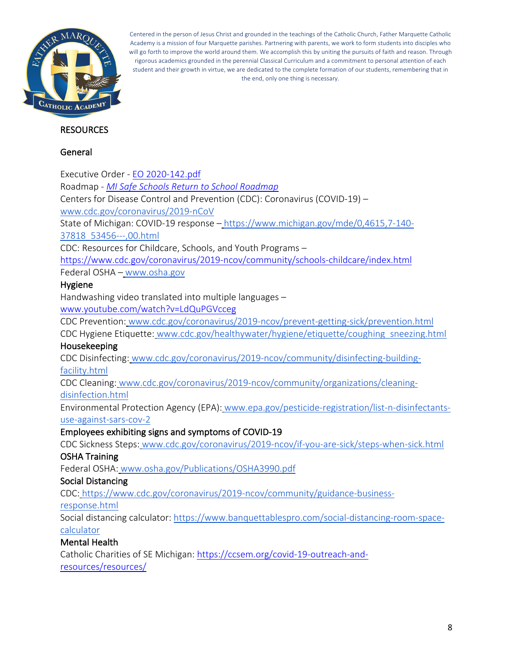

#### **RESOURCES**

#### General

Executive Order - EO 2020-142.pdf Roadmap - *MI Safe Schools Return to School Roadmap* Centers for Disease Control and Prevention (CDC): Coronavirus (COVID-19) – www.cdc.gov/coronavirus/2019-nCoV State of Michigan: COVID-19 response – https://www.michigan.gov/mde/0,4615,7-140- 37818\_53456---,00.html CDC: Resources for Childcare, Schools, and Youth Programs – https://www.cdc.gov/coronavirus/2019-ncov/community/schools-childcare/index.html Federal OSHA – www.osha.gov Hygiene Handwashing video translated into multiple languages – www.youtube.com/watch?v=LdQuPGVcceg CDC Prevention: www.cdc.gov/coronavirus/2019-ncov/prevent-getting-sick/prevention.html CDC Hygiene Etiquette: www.cdc.gov/healthywater/hygiene/etiquette/coughing\_sneezing.html Housekeeping CDC Disinfecting: www.cdc.gov/coronavirus/2019-ncov/community/disinfecting-buildingfacility.html CDC Cleaning: www.cdc.gov/coronavirus/2019-ncov/community/organizations/cleaningdisinfection.html Environmental Protection Agency (EPA): www.epa.gov/pesticide-registration/list-n-disinfectantsuse-against-sars-cov-2 Employees exhibiting signs and symptoms of COVID-19 CDC Sickness Steps: www.cdc.gov/coronavirus/2019-ncov/if-you-are-sick/steps-when-sick.html OSHA Training Federal OSHA: www.osha.gov/Publications/OSHA3990.pdf Social Distancing CDC: https://www.cdc.gov/coronavirus/2019-ncov/community/guidance-businessresponse.html Social distancing calculator: https://www.banquettablespro.com/social-distancing-room-spacecalculator Mental Health Catholic Charities of SE Michigan: https://ccsem.org/covid-19-outreach-and-

resources/resources/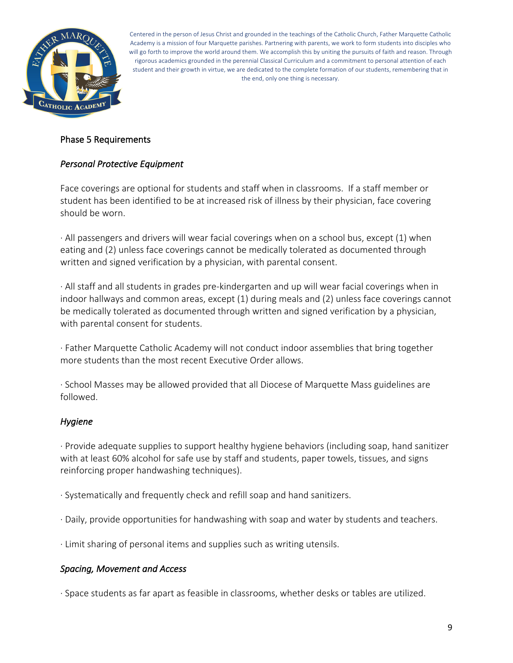

#### Phase 5 Requirements

#### *Personal Protective Equipment*

Face coverings are optional for students and staff when in classrooms. If a staff member or student has been identified to be at increased risk of illness by their physician, face covering should be worn.

· All passengers and drivers will wear facial coverings when on a school bus, except (1) when eating and (2) unless face coverings cannot be medically tolerated as documented through written and signed verification by a physician, with parental consent.

· All staff and all students in grades pre-kindergarten and up will wear facial coverings when in indoor hallways and common areas, except (1) during meals and (2) unless face coverings cannot be medically tolerated as documented through written and signed verification by a physician, with parental consent for students.

· Father Marquette Catholic Academy will not conduct indoor assemblies that bring together more students than the most recent Executive Order allows.

· School Masses may be allowed provided that all Diocese of Marquette Mass guidelines are followed.

#### *Hygiene*

· Provide adequate supplies to support healthy hygiene behaviors (including soap, hand sanitizer with at least 60% alcohol for safe use by staff and students, paper towels, tissues, and signs reinforcing proper handwashing techniques).

- · Systematically and frequently check and refill soap and hand sanitizers.
- · Daily, provide opportunities for handwashing with soap and water by students and teachers.

· Limit sharing of personal items and supplies such as writing utensils.

#### *Spacing, Movement and Access*

· Space students as far apart as feasible in classrooms, whether desks or tables are utilized.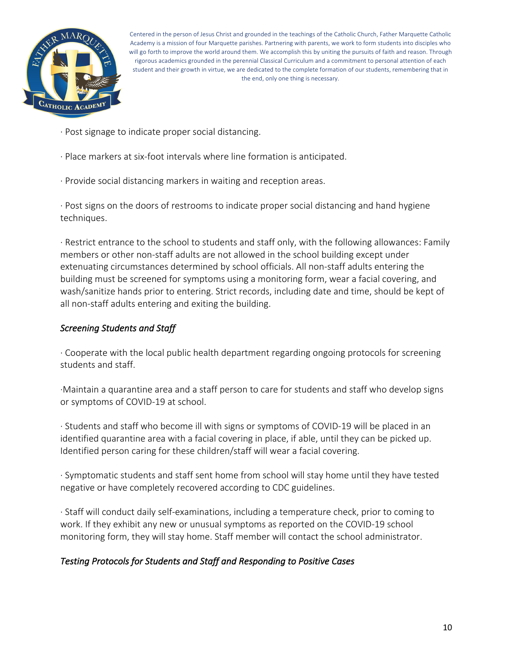

- · Post signage to indicate proper social distancing.
- · Place markers at six-foot intervals where line formation is anticipated.
- · Provide social distancing markers in waiting and reception areas.

· Post signs on the doors of restrooms to indicate proper social distancing and hand hygiene techniques.

· Restrict entrance to the school to students and staff only, with the following allowances: Family members or other non-staff adults are not allowed in the school building except under extenuating circumstances determined by school officials. All non-staff adults entering the building must be screened for symptoms using a monitoring form, wear a facial covering, and wash/sanitize hands prior to entering. Strict records, including date and time, should be kept of all non-staff adults entering and exiting the building.

#### *Screening Students and Staff*

· Cooperate with the local public health department regarding ongoing protocols for screening students and staff.

·Maintain a quarantine area and a staff person to care for students and staff who develop signs or symptoms of COVID-19 at school.

· Students and staff who become ill with signs or symptoms of COVID-19 will be placed in an identified quarantine area with a facial covering in place, if able, until they can be picked up. Identified person caring for these children/staff will wear a facial covering.

· Symptomatic students and staff sent home from school will stay home until they have tested negative or have completely recovered according to CDC guidelines.

· Staff will conduct daily self-examinations, including a temperature check, prior to coming to work. If they exhibit any new or unusual symptoms as reported on the COVID-19 school monitoring form, they will stay home. Staff member will contact the school administrator.

#### *Testing Protocols for Students and Staff and Responding to Positive Cases*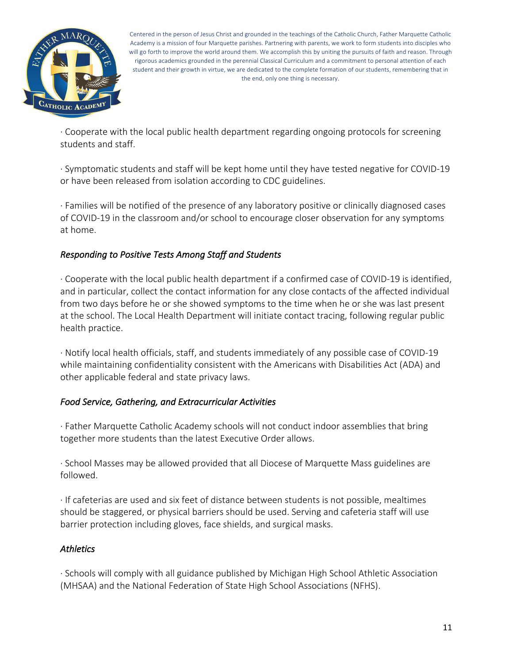

· Cooperate with the local public health department regarding ongoing protocols for screening students and staff.

· Symptomatic students and staff will be kept home until they have tested negative for COVID-19 or have been released from isolation according to CDC guidelines.

· Families will be notified of the presence of any laboratory positive or clinically diagnosed cases of COVID-19 in the classroom and/or school to encourage closer observation for any symptoms at home.

#### *Responding to Positive Tests Among Staff and Students*

· Cooperate with the local public health department if a confirmed case of COVID-19 is identified, and in particular, collect the contact information for any close contacts of the affected individual from two days before he or she showed symptoms to the time when he or she was last present at the school. The Local Health Department will initiate contact tracing, following regular public health practice.

· Notify local health officials, staff, and students immediately of any possible case of COVID-19 while maintaining confidentiality consistent with the Americans with Disabilities Act (ADA) and other applicable federal and state privacy laws.

#### *Food Service, Gathering, and Extracurricular Activities*

· Father Marquette Catholic Academy schools will not conduct indoor assemblies that bring together more students than the latest Executive Order allows.

· School Masses may be allowed provided that all Diocese of Marquette Mass guidelines are followed.

· If cafeterias are used and six feet of distance between students is not possible, mealtimes should be staggered, or physical barriers should be used. Serving and cafeteria staff will use barrier protection including gloves, face shields, and surgical masks.

# *Athletics*

· Schools will comply with all guidance published by Michigan High School Athletic Association (MHSAA) and the National Federation of State High School Associations (NFHS).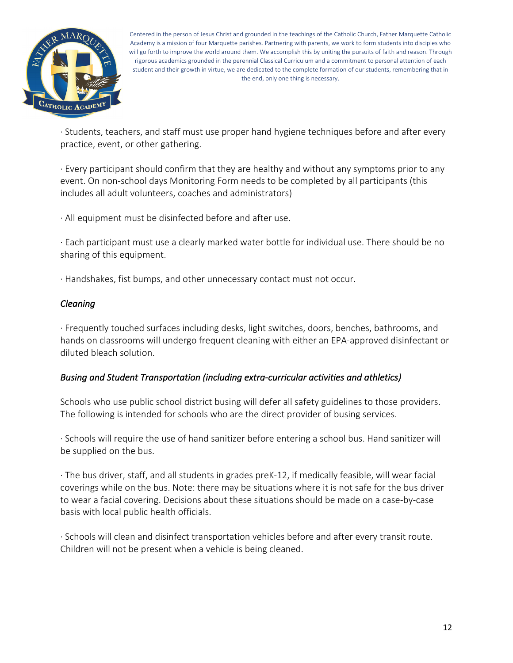

· Students, teachers, and staff must use proper hand hygiene techniques before and after every practice, event, or other gathering.

· Every participant should confirm that they are healthy and without any symptoms prior to any event. On non-school days Monitoring Form needs to be completed by all participants (this includes all adult volunteers, coaches and administrators)

· All equipment must be disinfected before and after use.

· Each participant must use a clearly marked water bottle for individual use. There should be no sharing of this equipment.

· Handshakes, fist bumps, and other unnecessary contact must not occur.

#### *Cleaning*

· Frequently touched surfaces including desks, light switches, doors, benches, bathrooms, and hands on classrooms will undergo frequent cleaning with either an EPA-approved disinfectant or diluted bleach solution.

#### *Busing and Student Transportation (including extra-curricular activities and athletics)*

Schools who use public school district busing will defer all safety guidelines to those providers. The following is intended for schools who are the direct provider of busing services.

· Schools will require the use of hand sanitizer before entering a school bus. Hand sanitizer will be supplied on the bus.

· The bus driver, staff, and all students in grades preK-12, if medically feasible, will wear facial coverings while on the bus. Note: there may be situations where it is not safe for the bus driver to wear a facial covering. Decisions about these situations should be made on a case-by-case basis with local public health officials.

· Schools will clean and disinfect transportation vehicles before and after every transit route. Children will not be present when a vehicle is being cleaned.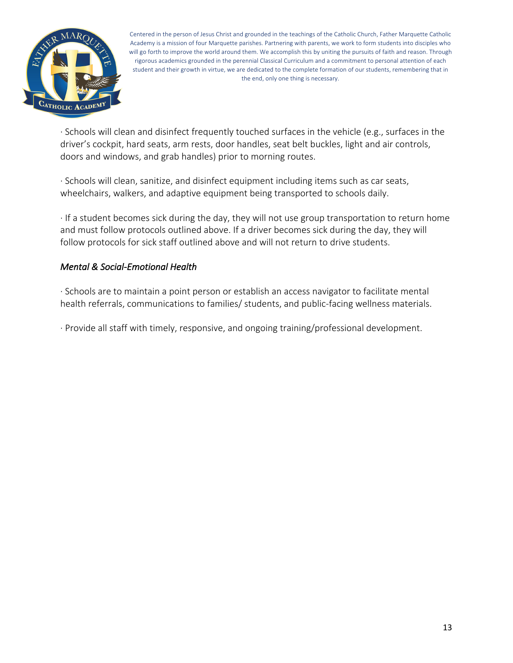

· Schools will clean and disinfect frequently touched surfaces in the vehicle (e.g., surfaces in the driver's cockpit, hard seats, arm rests, door handles, seat belt buckles, light and air controls, doors and windows, and grab handles) prior to morning routes.

· Schools will clean, sanitize, and disinfect equipment including items such as car seats, wheelchairs, walkers, and adaptive equipment being transported to schools daily.

· If a student becomes sick during the day, they will not use group transportation to return home and must follow protocols outlined above. If a driver becomes sick during the day, they will follow protocols for sick staff outlined above and will not return to drive students.

#### *Mental & Social-Emotional Health*

· Schools are to maintain a point person or establish an access navigator to facilitate mental health referrals, communications to families/ students, and public-facing wellness materials.

· Provide all staff with timely, responsive, and ongoing training/professional development.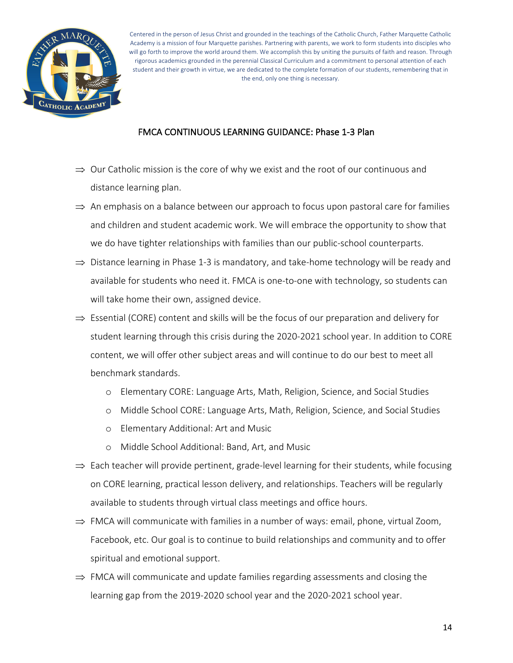

#### FMCA CONTINUOUS LEARNING GUIDANCE: Phase 1-3 Plan

- $\Rightarrow$  Our Catholic mission is the core of why we exist and the root of our continuous and distance learning plan.
- $\Rightarrow$  An emphasis on a balance between our approach to focus upon pastoral care for families and children and student academic work. We will embrace the opportunity to show that we do have tighter relationships with families than our public-school counterparts.
- $\Rightarrow$  Distance learning in Phase 1-3 is mandatory, and take-home technology will be ready and available for students who need it. FMCA is one-to-one with technology, so students can will take home their own, assigned device.
- $\Rightarrow$  Essential (CORE) content and skills will be the focus of our preparation and delivery for student learning through this crisis during the 2020-2021 school year. In addition to CORE content, we will offer other subject areas and will continue to do our best to meet all benchmark standards.
	- o Elementary CORE: Language Arts, Math, Religion, Science, and Social Studies
	- o Middle School CORE: Language Arts, Math, Religion, Science, and Social Studies
	- o Elementary Additional: Art and Music
	- o Middle School Additional: Band, Art, and Music
- $\Rightarrow$  Each teacher will provide pertinent, grade-level learning for their students, while focusing on CORE learning, practical lesson delivery, and relationships. Teachers will be regularly available to students through virtual class meetings and office hours.
- $\Rightarrow$  FMCA will communicate with families in a number of ways: email, phone, virtual Zoom, Facebook, etc. Our goal is to continue to build relationships and community and to offer spiritual and emotional support.
- $\Rightarrow$  FMCA will communicate and update families regarding assessments and closing the learning gap from the 2019-2020 school year and the 2020-2021 school year.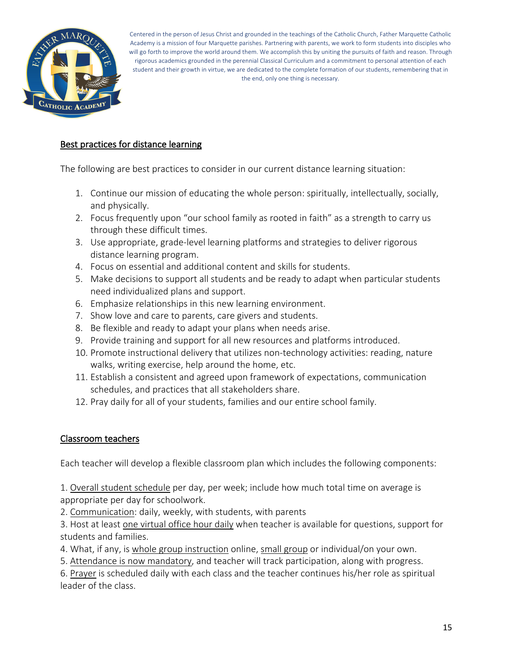

#### Best practices for distance learning

The following are best practices to consider in our current distance learning situation:

- 1. Continue our mission of educating the whole person: spiritually, intellectually, socially, and physically.
- 2. Focus frequently upon "our school family as rooted in faith" as a strength to carry us through these difficult times.
- 3. Use appropriate, grade-level learning platforms and strategies to deliver rigorous distance learning program.
- 4. Focus on essential and additional content and skills for students.
- 5. Make decisions to support all students and be ready to adapt when particular students need individualized plans and support.
- 6. Emphasize relationships in this new learning environment.
- 7. Show love and care to parents, care givers and students.
- 8. Be flexible and ready to adapt your plans when needs arise.
- 9. Provide training and support for all new resources and platforms introduced.
- 10. Promote instructional delivery that utilizes non-technology activities: reading, nature walks, writing exercise, help around the home, etc.
- 11. Establish a consistent and agreed upon framework of expectations, communication schedules, and practices that all stakeholders share.
- 12. Pray daily for all of your students, families and our entire school family.

#### Classroom teachers

Each teacher will develop a flexible classroom plan which includes the following components:

1. Overall student schedule per day, per week; include how much total time on average is appropriate per day for schoolwork.

2. Communication: daily, weekly, with students, with parents

3. Host at least one virtual office hour daily when teacher is available for questions, support for students and families.

4. What, if any, is whole group instruction online, small group or individual/on your own.

5. Attendance is now mandatory, and teacher will track participation, along with progress.

6. Prayer is scheduled daily with each class and the teacher continues his/her role as spiritual leader of the class.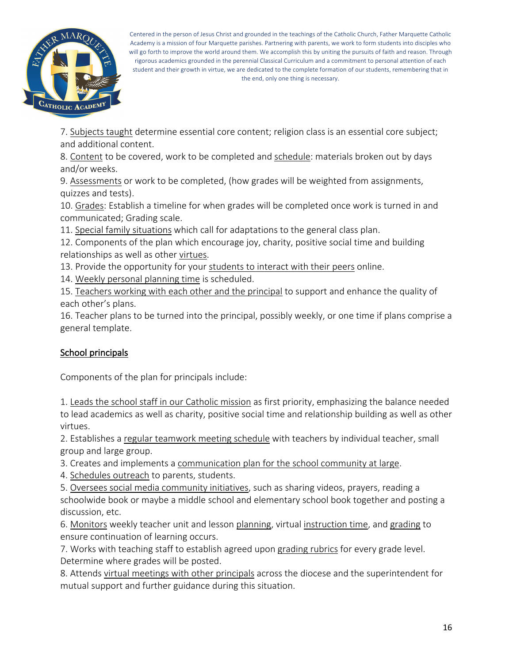

7. Subjects taught determine essential core content; religion class is an essential core subject; and additional content.

8. Content to be covered, work to be completed and schedule: materials broken out by days and/or weeks.

9. Assessments or work to be completed, (how grades will be weighted from assignments, quizzes and tests).

10. Grades: Establish a timeline for when grades will be completed once work is turned in and communicated; Grading scale.

11. Special family situations which call for adaptations to the general class plan.

12. Components of the plan which encourage joy, charity, positive social time and building relationships as well as other virtues.

13. Provide the opportunity for your students to interact with their peers online.

14. Weekly personal planning time is scheduled.

15. Teachers working with each other and the principal to support and enhance the quality of each other's plans.

16. Teacher plans to be turned into the principal, possibly weekly, or one time if plans comprise a general template.

# School principals

Components of the plan for principals include:

1. Leads the school staff in our Catholic mission as first priority, emphasizing the balance needed to lead academics as well as charity, positive social time and relationship building as well as other virtues.

2. Establishes a regular teamwork meeting schedule with teachers by individual teacher, small group and large group.

3. Creates and implements a communication plan for the school community at large.

4. Schedules outreach to parents, students.

5. Oversees social media community initiatives, such as sharing videos, prayers, reading a schoolwide book or maybe a middle school and elementary school book together and posting a discussion, etc.

6. Monitors weekly teacher unit and lesson planning, virtual instruction time, and grading to ensure continuation of learning occurs.

7. Works with teaching staff to establish agreed upon grading rubrics for every grade level. Determine where grades will be posted.

8. Attends virtual meetings with other principals across the diocese and the superintendent for mutual support and further guidance during this situation.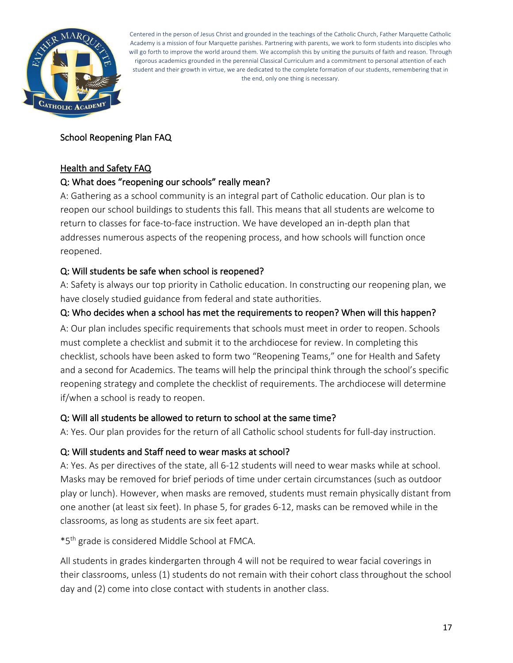

# School Reopening Plan FAQ

#### Health and Safety FAQ

#### Q: What does "reopening our schools" really mean?

A: Gathering as a school community is an integral part of Catholic education. Our plan is to reopen our school buildings to students this fall. This means that all students are welcome to return to classes for face-to-face instruction. We have developed an in-depth plan that addresses numerous aspects of the reopening process, and how schools will function once reopened.

#### Q: Will students be safe when school is reopened?

A: Safety is always our top priority in Catholic education. In constructing our reopening plan, we have closely studied guidance from federal and state authorities.

#### Q: Who decides when a school has met the requirements to reopen? When will this happen?

A: Our plan includes specific requirements that schools must meet in order to reopen. Schools must complete a checklist and submit it to the archdiocese for review. In completing this checklist, schools have been asked to form two "Reopening Teams," one for Health and Safety and a second for Academics. The teams will help the principal think through the school's specific reopening strategy and complete the checklist of requirements. The archdiocese will determine if/when a school is ready to reopen.

#### Q: Will all students be allowed to return to school at the same time?

A: Yes. Our plan provides for the return of all Catholic school students for full-day instruction.

#### Q: Will students and Staff need to wear masks at school?

A: Yes. As per directives of the state, all 6-12 students will need to wear masks while at school. Masks may be removed for brief periods of time under certain circumstances (such as outdoor play or lunch). However, when masks are removed, students must remain physically distant from one another (at least six feet). In phase 5, for grades 6-12, masks can be removed while in the classrooms, as long as students are six feet apart.

\*5th grade is considered Middle School at FMCA.

All students in grades kindergarten through 4 will not be required to wear facial coverings in their classrooms, unless (1) students do not remain with their cohort class throughout the school day and (2) come into close contact with students in another class.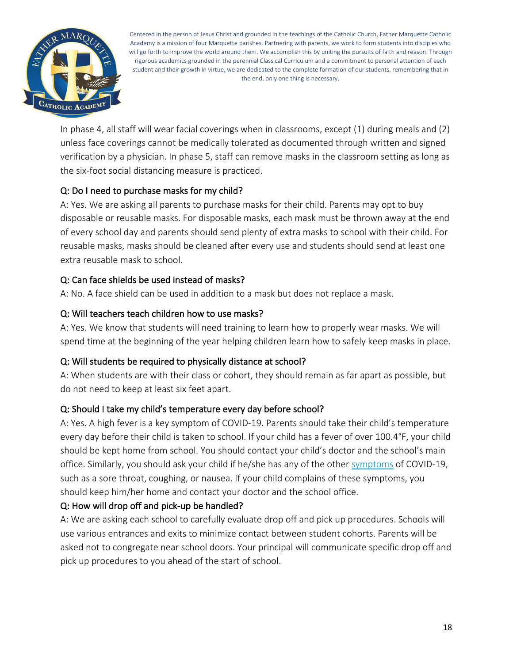

In phase 4, all staff will wear facial coverings when in classrooms, except (1) during meals and (2) unless face coverings cannot be medically tolerated as documented through written and signed verification by a physician. In phase 5, staff can remove masks in the classroom setting as long as the six-foot social distancing measure is practiced.

# Q: Do I need to purchase masks for my child?

A: Yes. We are asking all parents to purchase masks for their child. Parents may opt to buy disposable or reusable masks. For disposable masks, each mask must be thrown away at the end of every school day and parents should send plenty of extra masks to school with their child. For reusable masks, masks should be cleaned after every use and students should send at least one extra reusable mask to school.

# Q: Can face shields be used instead of masks?

A: No. A face shield can be used in addition to a mask but does not replace a mask.

#### Q: Will teachers teach children how to use masks?

A: Yes. We know that students will need training to learn how to properly wear masks. We will spend time at the beginning of the year helping children learn how to safely keep masks in place.

# Q: Will students be required to physically distance at school?

A: When students are with their class or cohort, they should remain as far apart as possible, but do not need to keep at least six feet apart.

# Q: Should I take my child's temperature every day before school?

A: Yes. A high fever is a key symptom of COVID-19. Parents should take their child's temperature every day before their child is taken to school. If your child has a fever of over 100.4°F, your child should be kept home from school. You should contact your child's doctor and the school's main office. Similarly, you should ask your child if he/she has any of the other symptoms of COVID-19, such as a sore throat, coughing, or nausea. If your child complains of these symptoms, you should keep him/her home and contact your doctor and the school office.

#### Q: How will drop off and pick-up be handled?

A: We are asking each school to carefully evaluate drop off and pick up procedures. Schools will use various entrances and exits to minimize contact between student cohorts. Parents will be asked not to congregate near school doors. Your principal will communicate specific drop off and pick up procedures to you ahead of the start of school.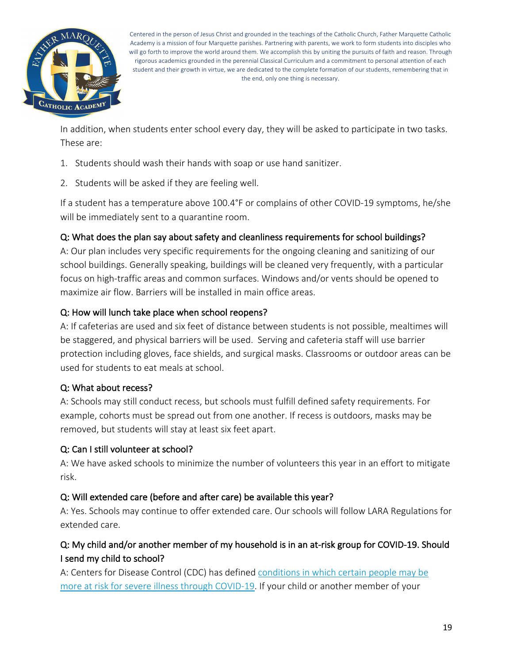

In addition, when students enter school every day, they will be asked to participate in two tasks. These are:

- 1. Students should wash their hands with soap or use hand sanitizer.
- 2. Students will be asked if they are feeling well.

If a student has a temperature above 100.4°F or complains of other COVID-19 symptoms, he/she will be immediately sent to a quarantine room.

#### Q: What does the plan say about safety and cleanliness requirements for school buildings?

A: Our plan includes very specific requirements for the ongoing cleaning and sanitizing of our school buildings. Generally speaking, buildings will be cleaned very frequently, with a particular focus on high-traffic areas and common surfaces. Windows and/or vents should be opened to maximize air flow. Barriers will be installed in main office areas.

#### Q: How will lunch take place when school reopens?

A: If cafeterias are used and six feet of distance between students is not possible, mealtimes will be staggered, and physical barriers will be used. Serving and cafeteria staff will use barrier protection including gloves, face shields, and surgical masks. Classrooms or outdoor areas can be used for students to eat meals at school.

#### Q: What about recess?

A: Schools may still conduct recess, but schools must fulfill defined safety requirements. For example, cohorts must be spread out from one another. If recess is outdoors, masks may be removed, but students will stay at least six feet apart.

#### Q: Can I still volunteer at school?

A: We have asked schools to minimize the number of volunteers this year in an effort to mitigate risk.

#### Q: Will extended care (before and after care) be available this year?

A: Yes. Schools may continue to offer extended care. Our schools will follow LARA Regulations for extended care.

# Q: My child and/or another member of my household is in an at-risk group for COVID-19. Should I send my child to school?

A: Centers for Disease Control (CDC) has defined conditions in which certain people may be more at risk for severe illness through COVID-19. If your child or another member of your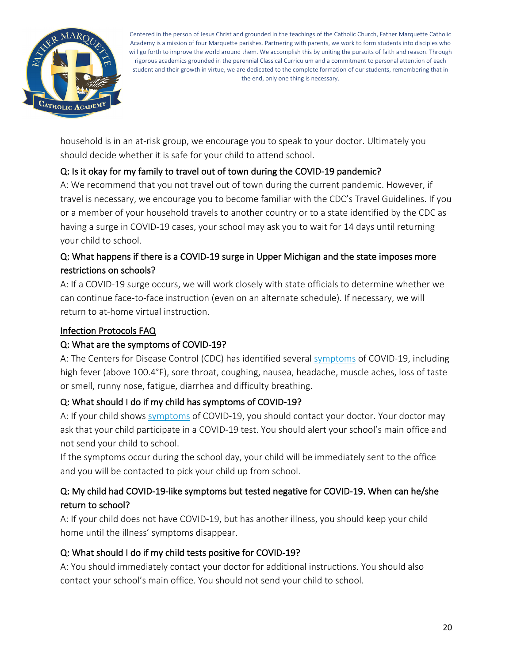

household is in an at-risk group, we encourage you to speak to your doctor. Ultimately you should decide whether it is safe for your child to attend school.

# Q: Is it okay for my family to travel out of town during the COVID-19 pandemic?

A: We recommend that you not travel out of town during the current pandemic. However, if travel is necessary, we encourage you to become familiar with the CDC's Travel Guidelines. If you or a member of your household travels to another country or to a state identified by the CDC as having a surge in COVID-19 cases, your school may ask you to wait for 14 days until returning your child to school.

# Q: What happens if there is a COVID-19 surge in Upper Michigan and the state imposes more restrictions on schools?

A: If a COVID-19 surge occurs, we will work closely with state officials to determine whether we can continue face-to-face instruction (even on an alternate schedule). If necessary, we will return to at-home virtual instruction.

#### Infection Protocols FAQ

# Q: What are the symptoms of COVID-19?

A: The Centers for Disease Control (CDC) has identified several symptoms of COVID-19, including high fever (above 100.4°F), sore throat, coughing, nausea, headache, muscle aches, loss of taste or smell, runny nose, fatigue, diarrhea and difficulty breathing.

# Q: What should I do if my child has symptoms of COVID-19?

A: If your child shows symptoms of COVID-19, you should contact your doctor. Your doctor may ask that your child participate in a COVID-19 test. You should alert your school's main office and not send your child to school.

If the symptoms occur during the school day, your child will be immediately sent to the office and you will be contacted to pick your child up from school.

# Q: My child had COVID-19-like symptoms but tested negative for COVID-19. When can he/she return to school?

A: If your child does not have COVID-19, but has another illness, you should keep your child home until the illness' symptoms disappear.

# Q: What should I do if my child tests positive for COVID-19?

A: You should immediately contact your doctor for additional instructions. You should also contact your school's main office. You should not send your child to school.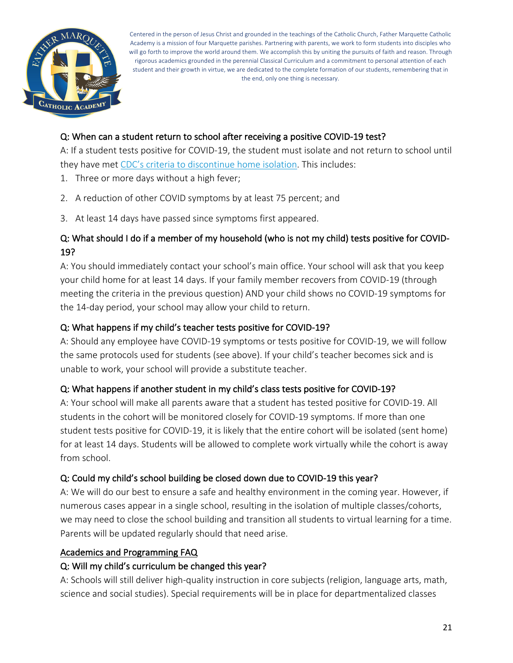

## Q: When can a student return to school after receiving a positive COVID-19 test?

A: If a student tests positive for COVID-19, the student must isolate and not return to school until they have met CDC's criteria to discontinue home isolation. This includes:

- 1. Three or more days without a high fever;
- 2. A reduction of other COVID symptoms by at least 75 percent; and
- 3. At least 14 days have passed since symptoms first appeared.

# Q: What should I do if a member of my household (who is not my child) tests positive for COVID-19?

A: You should immediately contact your school's main office. Your school will ask that you keep your child home for at least 14 days. If your family member recovers from COVID-19 (through meeting the criteria in the previous question) AND your child shows no COVID-19 symptoms for the 14-day period, your school may allow your child to return.

# Q: What happens if my child's teacher tests positive for COVID-19?

A: Should any employee have COVID-19 symptoms or tests positive for COVID-19, we will follow the same protocols used for students (see above). If your child's teacher becomes sick and is unable to work, your school will provide a substitute teacher.

# Q: What happens if another student in my child's class tests positive for COVID-19?

A: Your school will make all parents aware that a student has tested positive for COVID-19. All students in the cohort will be monitored closely for COVID-19 symptoms. If more than one student tests positive for COVID-19, it is likely that the entire cohort will be isolated (sent home) for at least 14 days. Students will be allowed to complete work virtually while the cohort is away from school.

# Q: Could my child's school building be closed down due to COVID-19 this year?

A: We will do our best to ensure a safe and healthy environment in the coming year. However, if numerous cases appear in a single school, resulting in the isolation of multiple classes/cohorts, we may need to close the school building and transition all students to virtual learning for a time. Parents will be updated regularly should that need arise.

#### Academics and Programming FAQ

#### Q: Will my child's curriculum be changed this year?

A: Schools will still deliver high-quality instruction in core subjects (religion, language arts, math, science and social studies). Special requirements will be in place for departmentalized classes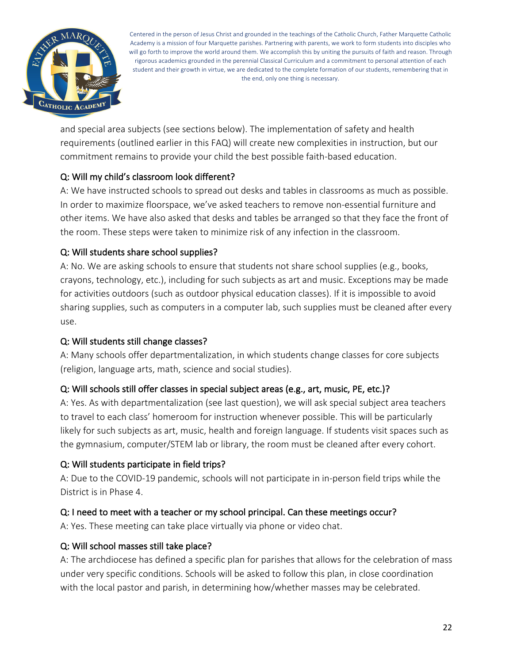

and special area subjects (see sections below). The implementation of safety and health requirements (outlined earlier in this FAQ) will create new complexities in instruction, but our commitment remains to provide your child the best possible faith-based education.

# Q: Will my child's classroom look different?

A: We have instructed schools to spread out desks and tables in classrooms as much as possible. In order to maximize floorspace, we've asked teachers to remove non-essential furniture and other items. We have also asked that desks and tables be arranged so that they face the front of the room. These steps were taken to minimize risk of any infection in the classroom.

# Q: Will students share school supplies?

A: No. We are asking schools to ensure that students not share school supplies (e.g., books, crayons, technology, etc.), including for such subjects as art and music. Exceptions may be made for activities outdoors (such as outdoor physical education classes). If it is impossible to avoid sharing supplies, such as computers in a computer lab, such supplies must be cleaned after every use.

# Q: Will students still change classes?

A: Many schools offer departmentalization, in which students change classes for core subjects (religion, language arts, math, science and social studies).

# Q: Will schools still offer classes in special subject areas (e.g., art, music, PE, etc.)?

A: Yes. As with departmentalization (see last question), we will ask special subject area teachers to travel to each class' homeroom for instruction whenever possible. This will be particularly likely for such subjects as art, music, health and foreign language. If students visit spaces such as the gymnasium, computer/STEM lab or library, the room must be cleaned after every cohort.

# Q: Will students participate in field trips?

A: Due to the COVID-19 pandemic, schools will not participate in in-person field trips while the District is in Phase 4.

# Q: I need to meet with a teacher or my school principal. Can these meetings occur?

A: Yes. These meeting can take place virtually via phone or video chat.

# Q: Will school masses still take place?

A: The archdiocese has defined a specific plan for parishes that allows for the celebration of mass under very specific conditions. Schools will be asked to follow this plan, in close coordination with the local pastor and parish, in determining how/whether masses may be celebrated.